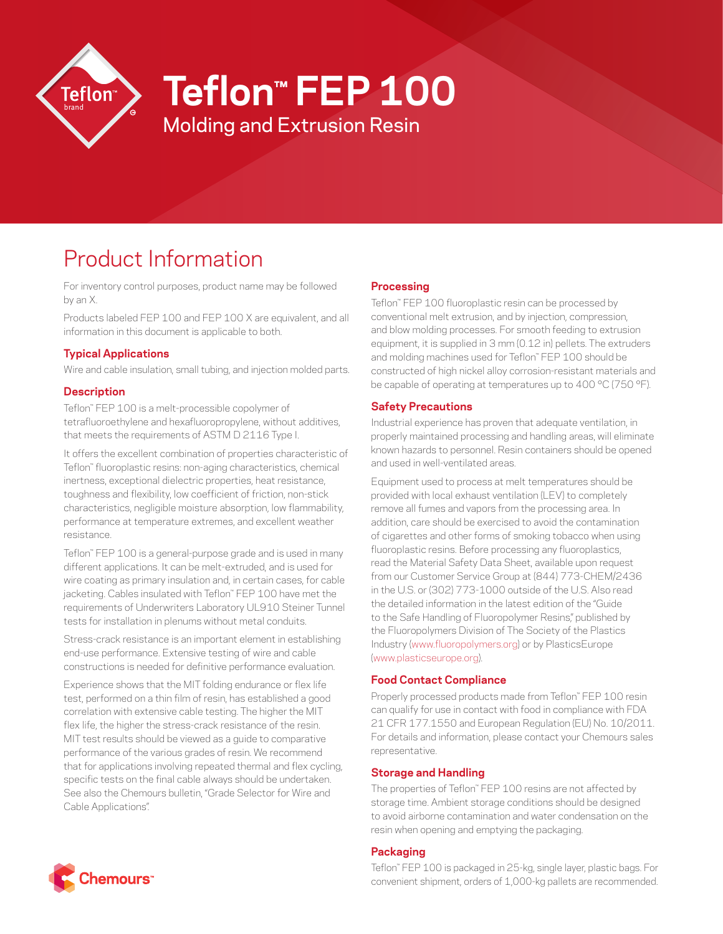

# **Teflon™ FEP 100**

Molding and Extrusion Resin

# Product Information

For inventory control purposes, product name may be followed by an X.

Products labeled FEP 100 and FEP 100 X are equivalent, and all information in this document is applicable to both.

## **Typical Applications**

Wire and cable insulation, small tubing, and injection molded parts.

### **Description**

Teflon™ FEP 100 is a melt-processible copolymer of tetrafluoroethylene and hexafluoropropylene, without additives, that meets the requirements of ASTM D 2116 Type I.

It offers the excellent combination of properties characteristic of Teflon™ fluoroplastic resins: non-aging characteristics, chemical inertness, exceptional dielectric properties, heat resistance, toughness and flexibility, low coefficient of friction, non-stick characteristics, negligible moisture absorption, low flammability, performance at temperature extremes, and excellent weather resistance.

Teflon™ FEP 100 is a general-purpose grade and is used in many different applications. It can be melt-extruded, and is used for wire coating as primary insulation and, in certain cases, for cable jacketing. Cables insulated with Teflon™ FEP 100 have met the requirements of Underwriters Laboratory UL910 Steiner Tunnel tests for installation in plenums without metal conduits.

Stress-crack resistance is an important element in establishing end-use performance. Extensive testing of wire and cable constructions is needed for definitive performance evaluation.

Experience shows that the MIT folding endurance or flex life test, performed on a thin film of resin, has established a good correlation with extensive cable testing. The higher the MIT flex life, the higher the stress-crack resistance of the resin. MIT test results should be viewed as a guide to comparative performance of the various grades of resin. We recommend that for applications involving repeated thermal and flex cycling, specific tests on the final cable always should be undertaken. See also the Chemours bulletin, "Grade Selector for Wire and Cable Applications".

### **Processing**

Teflon™ FEP 100 fluoroplastic resin can be processed by conventional melt extrusion, and by injection, compression, and blow molding processes. For smooth feeding to extrusion equipment, it is supplied in 3 mm (0.12 in) pellets. The extruders and molding machines used for Teflon™ FEP 100 should be constructed of high nickel alloy corrosion-resistant materials and be capable of operating at temperatures up to 400 °C (750 °F).

### **Safety Precautions**

Industrial experience has proven that adequate ventilation, in properly maintained processing and handling areas, will eliminate known hazards to personnel. Resin containers should be opened and used in well-ventilated areas.

Equipment used to process at melt temperatures should be provided with local exhaust ventilation (LEV) to completely remove all fumes and vapors from the processing area. In addition, care should be exercised to avoid the contamination of cigarettes and other forms of smoking tobacco when using fluoroplastic resins. Before processing any fluoroplastics, read the Material Safety Data Sheet, available upon request from our Customer Service Group at (844) 773-CHEM/2436 in the U.S. or (302) 773-1000 outside of the U.S. Also read the detailed information in the latest edition of the "Guide to the Safe Handling of Fluoropolymer Resins," published by the Fluoropolymers Division of The Society of the Plastics Industry ([www.fluoropolymers.org](http://www.fluoropolymers.org)) or by PlasticsEurope [\(www.plasticseurope.org](http://www.plasticseurope.org)).

#### **Food Contact Compliance**

Properly processed products made from Teflon™ FEP 100 resin can qualify for use in contact with food in compliance with FDA 21 CFR 177.1550 and European Regulation (EU) No. 10/2011. For details and information, please contact your Chemours sales representative.

#### **Storage and Handling**

The properties of Teflon™ FEP 100 resins are not affected by storage time. Ambient storage conditions should be designed to avoid airborne contamination and water condensation on the resin when opening and emptying the packaging.

#### **Packaging**

Teflon™ FEP 100 is packaged in 25-kg, single layer, plastic bags. For convenient shipment, orders of 1,000-kg pallets are recommended.